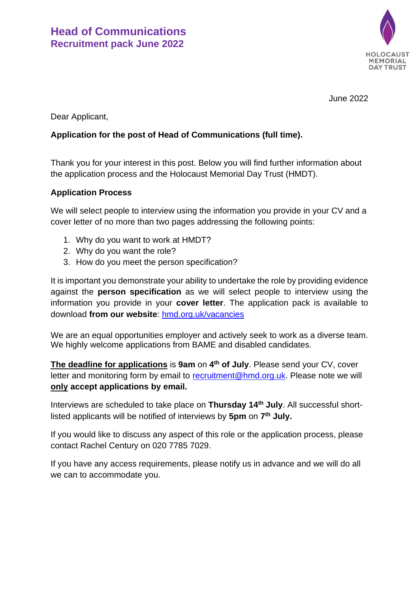

June 2022

Dear Applicant,

### **Application for the post of Head of Communications (full time).**

Thank you for your interest in this post. Below you will find further information about the application process and the Holocaust Memorial Day Trust (HMDT).

### **Application Process**

We will select people to interview using the information you provide in your CV and a cover letter of no more than two pages addressing the following points:

- 1. Why do you want to work at HMDT?
- 2. Why do you want the role?
- 3. How do you meet the person specification?

It is important you demonstrate your ability to undertake the role by providing evidence against the **person specification** as we will select people to interview using the information you provide in your **cover letter**. The application pack is available to download **from our website**: [hmd.org.uk/vacancies](http://hmd.org.uk/page/vacancies)

We are an equal opportunities employer and actively seek to work as a diverse team. We highly welcome applications from BAME and disabled candidates.

**The deadline for applications** is **9am** on **4 th of July**. Please send your CV, cover letter and monitoring form by email to [recruitment@hmd.org.uk.](mailto:recruitment@hmd.org.uk) Please note we will **only accept applications by email.** 

Interviews are scheduled to take place on **Thursday 14th July**. All successful shortlisted applicants will be notified of interviews by **5pm** on **7 th July.**

If you would like to discuss any aspect of this role or the application process, please contact Rachel Century on 020 7785 7029.

If you have any access requirements, please notify us in advance and we will do all we can to accommodate you.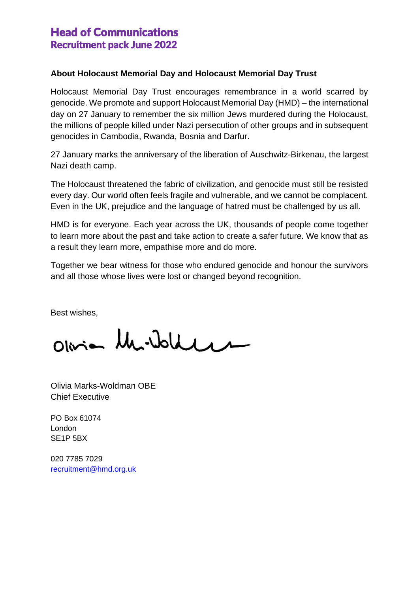## Head of Communications Recruitment pack June 2022

### **About Holocaust Memorial Day and Holocaust Memorial Day Trust**

Holocaust Memorial Day Trust encourages remembrance in a world scarred by genocide. We promote and support Holocaust Memorial Day (HMD) – the international day on 27 January to remember the six million Jews murdered during the Holocaust, the millions of people killed under Nazi persecution of other groups and in subsequent genocides in Cambodia, Rwanda, Bosnia and Darfur.

27 January marks the anniversary of the liberation of Auschwitz-Birkenau, the largest Nazi death camp.

The Holocaust threatened the fabric of civilization, and genocide must still be resisted every day. Our world often feels fragile and vulnerable, and we cannot be complacent. Even in the UK, prejudice and the language of hatred must be challenged by us all.

HMD is for everyone. Each year across the UK, thousands of people come together to learn more about the past and take action to create a safer future. We know that as a result they learn more, empathise more and do more.

Together we bear witness for those who endured genocide and honour the survivors and all those whose lives were lost or changed beyond recognition.

Best wishes,

Olivia Mi-Waller

Olivia Marks-Woldman OBE Chief Executive

PO Box 61074 London SE1P 5BX

020 7785 7029 [recruitment@hmd.org.uk](mailto:recruitment@hmd.org.uk)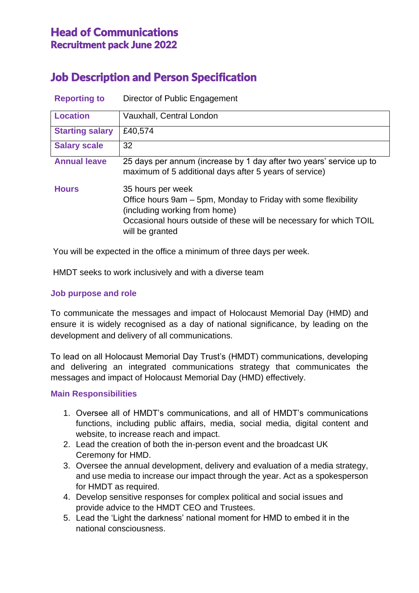## Head of Communications Recruitment pack June 2022

# Job Description and Person Specification

| <b>Reporting to</b>    | Director of Public Engagement                                                                                                                                                                                 |
|------------------------|---------------------------------------------------------------------------------------------------------------------------------------------------------------------------------------------------------------|
| <b>Location</b>        | Vauxhall, Central London                                                                                                                                                                                      |
| <b>Starting salary</b> | £40,574                                                                                                                                                                                                       |
| <b>Salary scale</b>    | 32                                                                                                                                                                                                            |
| <b>Annual leave</b>    | 25 days per annum (increase by 1 day after two years' service up to<br>maximum of 5 additional days after 5 years of service)                                                                                 |
| <b>Hours</b>           | 35 hours per week<br>Office hours 9am – 5pm, Monday to Friday with some flexibility<br>(including working from home)<br>Occasional hours outside of these will be necessary for which TOIL<br>will be granted |

You will be expected in the office a minimum of three days per week.

HMDT seeks to work inclusively and with a diverse team

### **Job purpose and role**

To communicate the messages and impact of Holocaust Memorial Day (HMD) and ensure it is widely recognised as a day of national significance, by leading on the development and delivery of all communications.

To lead on all Holocaust Memorial Day Trust's (HMDT) communications, developing and delivering an integrated communications strategy that communicates the messages and impact of Holocaust Memorial Day (HMD) effectively.

#### **Main Responsibilities**

- 1. Oversee all of HMDT's communications, and all of HMDT's communications functions, including public affairs, media, social media, digital content and website, to increase reach and impact.
- 2. Lead the creation of both the in-person event and the broadcast UK Ceremony for HMD.
- 3. Oversee the annual development, delivery and evaluation of a media strategy, and use media to increase our impact through the year. Act as a spokesperson for HMDT as required.
- 4. Develop sensitive responses for complex political and social issues and provide advice to the HMDT CEO and Trustees.
- 5. Lead the 'Light the darkness' national moment for HMD to embed it in the national consciousness.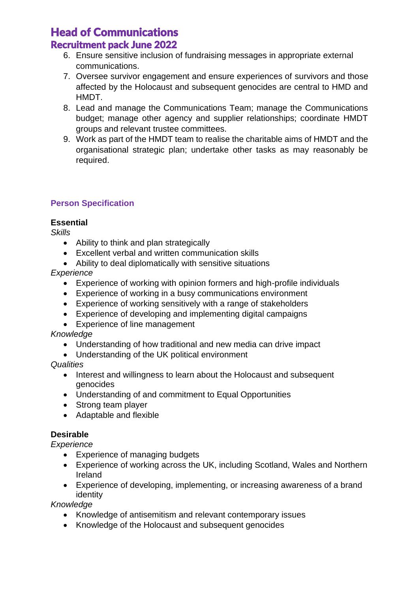# Head of Communications

### Recruitment pack June 2022

- 6. Ensure sensitive inclusion of fundraising messages in appropriate external communications.
- 7. Oversee survivor engagement and ensure experiences of survivors and those affected by the Holocaust and subsequent genocides are central to HMD and HMDT.
- 8. Lead and manage the Communications Team; manage the Communications budget; manage other agency and supplier relationships; coordinate HMDT groups and relevant trustee committees.
- 9. Work as part of the HMDT team to realise the charitable aims of HMDT and the organisational strategic plan; undertake other tasks as may reasonably be required.

### **Person Specification**

### **Essential**

*Skills*

- Ability to think and plan strategically
- Excellent verbal and written communication skills
- Ability to deal diplomatically with sensitive situations

### *Experience*

- Experience of working with opinion formers and high-profile individuals
- Experience of working in a busy communications environment
- Experience of working sensitively with a range of stakeholders
- Experience of developing and implementing digital campaigns
- Experience of line management

### *Knowledge*

- Understanding of how traditional and new media can drive impact
- Understanding of the UK political environment

*Qualities*

- Interest and willingness to learn about the Holocaust and subsequent genocides
- Understanding of and commitment to Equal Opportunities
- Strong team player
- Adaptable and flexible

### **Desirable**

*Experience*

- Experience of managing budgets
- Experience of working across the UK, including Scotland, Wales and Northern Ireland
- Experience of developing, implementing, or increasing awareness of a brand identity

*Knowledge*

- Knowledge of antisemitism and relevant contemporary issues
- Knowledge of the Holocaust and subsequent genocides